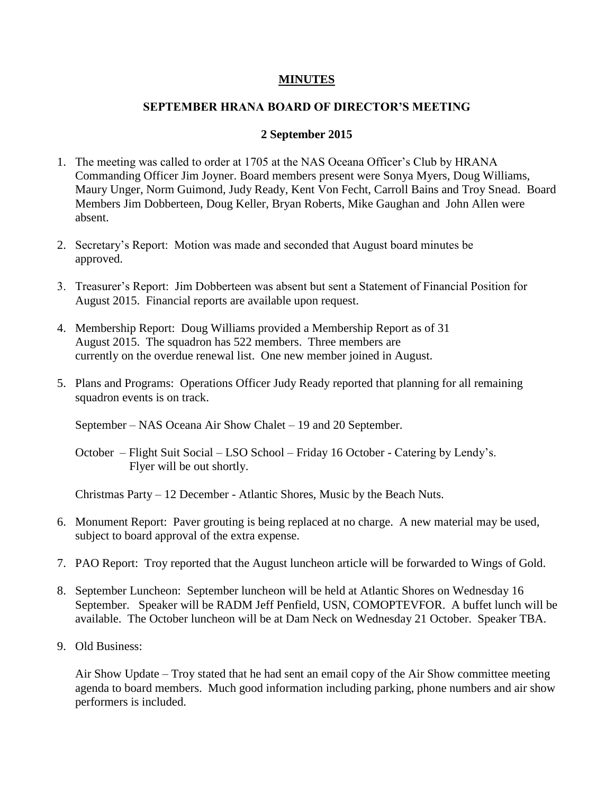## **MINUTES**

## **SEPTEMBER HRANA BOARD OF DIRECTOR'S MEETING**

## **2 September 2015**

- 1. The meeting was called to order at 1705 at the NAS Oceana Officer's Club by HRANA Commanding Officer Jim Joyner. Board members present were Sonya Myers, Doug Williams, Maury Unger, Norm Guimond, Judy Ready, Kent Von Fecht, Carroll Bains and Troy Snead. Board Members Jim Dobberteen, Doug Keller, Bryan Roberts, Mike Gaughan and John Allen were absent.
- 2. Secretary's Report: Motion was made and seconded that August board minutes be approved.
- 3. Treasurer's Report: Jim Dobberteen was absent but sent a Statement of Financial Position for August 2015. Financial reports are available upon request.
- 4. Membership Report: Doug Williams provided a Membership Report as of 31 August 2015. The squadron has 522 members. Three members are currently on the overdue renewal list. One new member joined in August.
- 5. Plans and Programs: Operations Officer Judy Ready reported that planning for all remaining squadron events is on track.

September – NAS Oceana Air Show Chalet – 19 and 20 September.

October – Flight Suit Social – LSO School – Friday 16 October - Catering by Lendy's. Flyer will be out shortly.

Christmas Party – 12 December - Atlantic Shores, Music by the Beach Nuts.

- 6. Monument Report: Paver grouting is being replaced at no charge. A new material may be used, subject to board approval of the extra expense.
- 7. PAO Report: Troy reported that the August luncheon article will be forwarded to Wings of Gold.
- 8. September Luncheon: September luncheon will be held at Atlantic Shores on Wednesday 16 September. Speaker will be RADM Jeff Penfield, USN, COMOPTEVFOR. A buffet lunch will be available. The October luncheon will be at Dam Neck on Wednesday 21 October. Speaker TBA.
- 9. Old Business:

Air Show Update – Troy stated that he had sent an email copy of the Air Show committee meeting agenda to board members. Much good information including parking, phone numbers and air show performers is included.